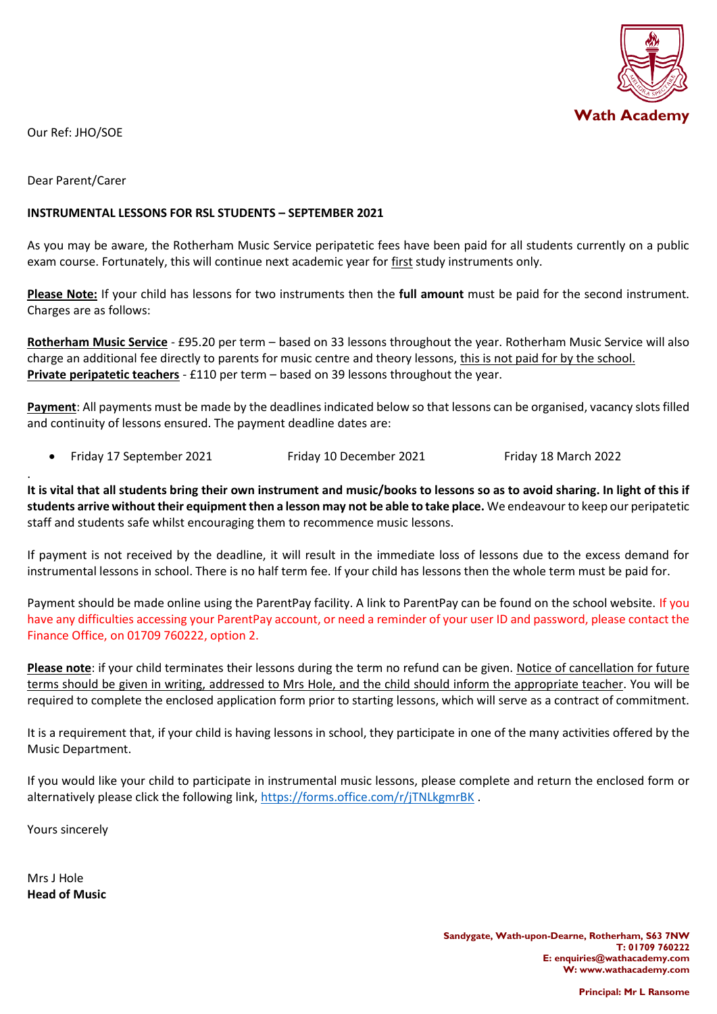

Our Ref: JHO/SOE

Dear Parent/Carer

.

## **INSTRUMENTAL LESSONS FOR RSL STUDENTS – SEPTEMBER 2021**

As you may be aware, the Rotherham Music Service peripatetic fees have been paid for all students currently on a public exam course. Fortunately, this will continue next academic year for first study instruments only.

**Please Note:** If your child has lessons for two instruments then the **full amount** must be paid for the second instrument. Charges are as follows:

**Rotherham Music Service** - £95.20 per term – based on 33 lessons throughout the year. Rotherham Music Service will also charge an additional fee directly to parents for music centre and theory lessons, this is not paid for by the school. **Private peripatetic teachers** - £110 per term – based on 39 lessons throughout the year.

**Payment**: All payments must be made by the deadlines indicated below so that lessons can be organised, vacancy slots filled and continuity of lessons ensured. The payment deadline dates are:

• Friday 17 September 2021 Friday 10 December 2021 Friday 18 March 2022

**It is vital that all students bring their own instrument and music/books to lessons so as to avoid sharing. In light of this if students arrive without their equipment then a lesson may not be able to take place.** We endeavour to keep our peripatetic staff and students safe whilst encouraging them to recommence music lessons.

If payment is not received by the deadline, it will result in the immediate loss of lessons due to the excess demand for instrumental lessons in school. There is no half term fee. If your child has lessons then the whole term must be paid for.

Payment should be made online using the ParentPay facility. A link to ParentPay can be found on the school website. If you have any difficulties accessing your ParentPay account, or need a reminder of your user ID and password, please contact the Finance Office, on 01709 760222, option 2.

**Please note**: if your child terminates their lessons during the term no refund can be given. Notice of cancellation for future terms should be given in writing, addressed to Mrs Hole, and the child should inform the appropriate teacher. You will be required to complete the enclosed application form prior to starting lessons, which will serve as a contract of commitment.

It is a requirement that, if your child is having lessons in school, they participate in one of the many activities offered by the Music Department.

If you would like your child to participate in instrumental music lessons, please complete and return the enclosed form or alternatively please click the following link[, https://forms.office.com/r/jTNLkgmrBK](https://forms.office.com/r/jTNLkgmrBK).

Yours sincerely

Mrs J Hole **Head of Music**